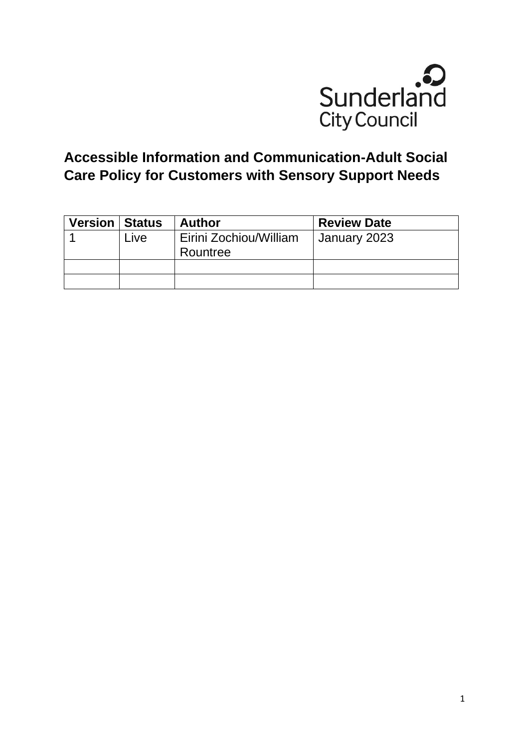

# **Accessible Information and Communication-Adult Social Care Policy for Customers with Sensory Support Needs**

| <b>Version   Status</b> |      | <b>Author</b>                      | <b>Review Date</b> |
|-------------------------|------|------------------------------------|--------------------|
|                         | Live | Eirini Zochiou/William<br>Rountree | January 2023       |
|                         |      |                                    |                    |
|                         |      |                                    |                    |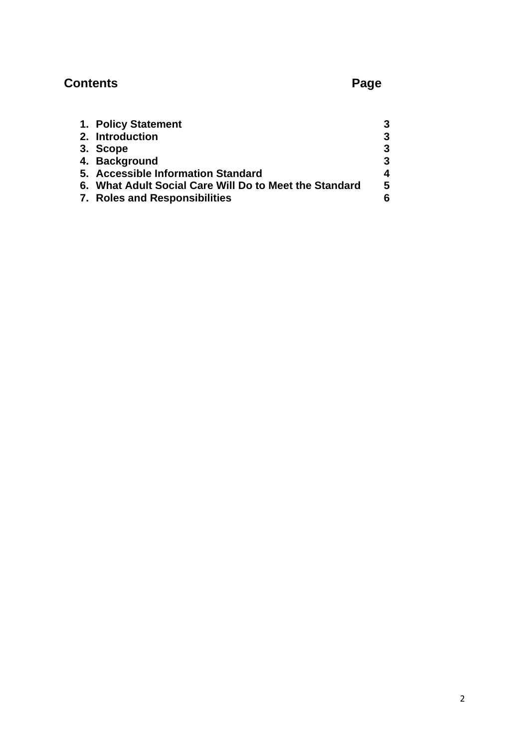# **Contents** Page

| 1. Policy Statement                                    |   |
|--------------------------------------------------------|---|
| 2. Introduction                                        | 3 |
| 3. Scope                                               | 3 |
| 4. Background                                          | 3 |
| 5. Accessible Information Standard                     |   |
| 6. What Adult Social Care Will Do to Meet the Standard | 5 |
| 7. Roles and Responsibilities                          |   |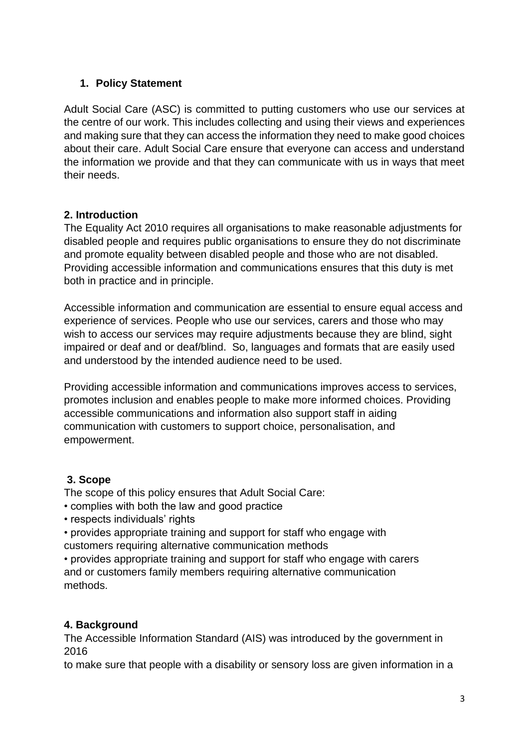## **1. Policy Statement**

Adult Social Care (ASC) is committed to putting customers who use our services at the centre of our work. This includes collecting and using their views and experiences and making sure that they can access the information they need to make good choices about their care. Adult Social Care ensure that everyone can access and understand the information we provide and that they can communicate with us in ways that meet their needs.

## **2. Introduction**

The Equality Act 2010 requires all organisations to make reasonable adjustments for disabled people and requires public organisations to ensure they do not discriminate and promote equality between disabled people and those who are not disabled. Providing accessible information and communications ensures that this duty is met both in practice and in principle.

Accessible information and communication are essential to ensure equal access and experience of services. People who use our services, carers and those who may wish to access our services may require adjustments because they are blind, sight impaired or deaf and or deaf/blind. So, languages and formats that are easily used and understood by the intended audience need to be used.

Providing accessible information and communications improves access to services, promotes inclusion and enables people to make more informed choices. Providing accessible communications and information also support staff in aiding communication with customers to support choice, personalisation, and empowerment.

# **3. Scope**

The scope of this policy ensures that Adult Social Care:

- complies with both the law and good practice
- respects individuals' rights

• provides appropriate training and support for staff who engage with customers requiring alternative communication methods

• provides appropriate training and support for staff who engage with carers and or customers family members requiring alternative communication methods.

# **4. Background**

The Accessible Information Standard (AIS) was introduced by the government in 2016

to make sure that people with a disability or sensory loss are given information in a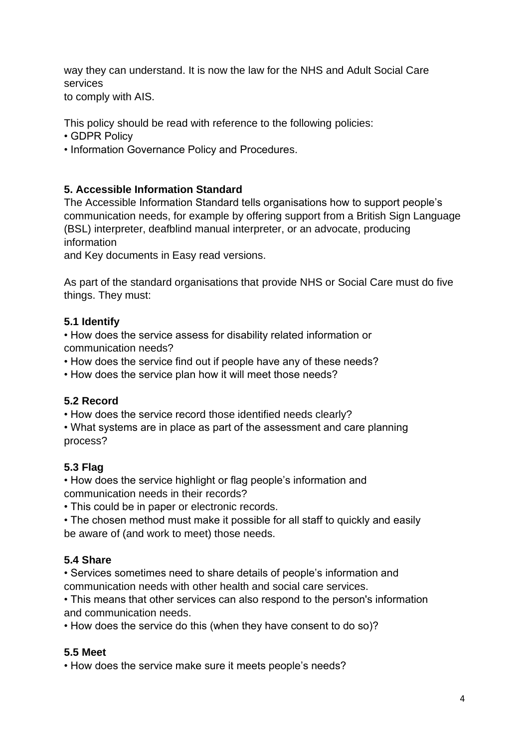way they can understand. It is now the law for the NHS and Adult Social Care services

to comply with AIS.

This policy should be read with reference to the following policies:

- GDPR Policy
- Information Governance Policy and Procedures.

## **5. Accessible Information Standard**

The Accessible Information Standard tells organisations how to support people's communication needs, for example by offering support from a British Sign Language (BSL) interpreter, deafblind manual interpreter, or an advocate, producing information

and Key documents in Easy read versions.

As part of the standard organisations that provide NHS or Social Care must do five things. They must:

### **5.1 Identify**

• How does the service assess for disability related information or communication needs?

• How does the service find out if people have any of these needs?

• How does the service plan how it will meet those needs?

### **5.2 Record**

• How does the service record those identified needs clearly?

• What systems are in place as part of the assessment and care planning process?

# **5.3 Flag**

• How does the service highlight or flag people's information and communication needs in their records?

• This could be in paper or electronic records.

• The chosen method must make it possible for all staff to quickly and easily be aware of (and work to meet) those needs.

# **5.4 Share**

• Services sometimes need to share details of people's information and communication needs with other health and social care services.

• This means that other services can also respond to the person's information and communication needs.

• How does the service do this (when they have consent to do so)?

### **5.5 Meet**

• How does the service make sure it meets people's needs?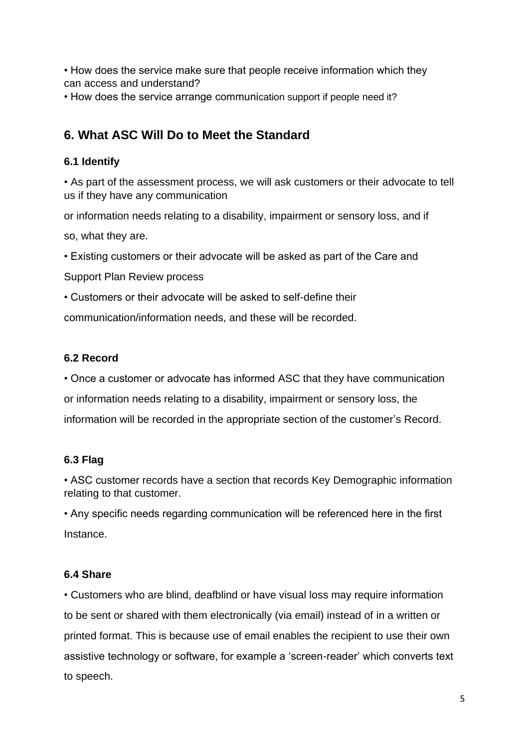• How does the service make sure that people receive information which they can access and understand?

• How does the service arrange communication support if people need it?

# **6. What ASC Will Do to Meet the Standard**

### **6.1 Identify**

• As part of the assessment process, we will ask customers or their advocate to tell us if they have any communication

or information needs relating to a disability, impairment or sensory loss, and if

so, what they are.

• Existing customers or their advocate will be asked as part of the Care and

Support Plan Review process

• Customers or their advocate will be asked to self-define their

communication/information needs, and these will be recorded.

### **6.2 Record**

• Once a customer or advocate has informed ASC that they have communication or information needs relating to a disability, impairment or sensory loss, the information will be recorded in the appropriate section of the customer's Record.

### **6.3 Flag**

• ASC customer records have a section that records Key Demographic information relating to that customer.

• Any specific needs regarding communication will be referenced here in the first **Instance** 

### **6.4 Share**

• Customers who are blind, deafblind or have visual loss may require information to be sent or shared with them electronically (via email) instead of in a written or printed format. This is because use of email enables the recipient to use their own assistive technology or software, for example a 'screen-reader' which converts text to speech.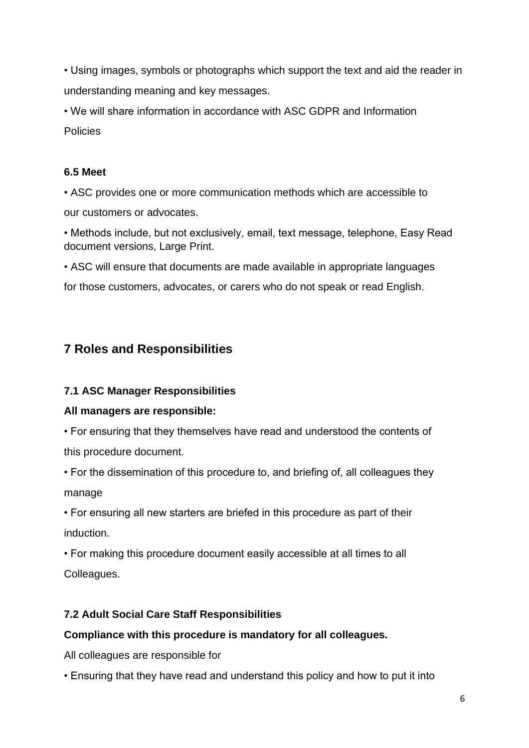• Using images, symbols or photographs which support the text and aid the reader in understanding meaning and key messages.

• We will share information in accordance with ASC GDPR and Information Policies

### **6.5 Meet**

• ASC provides one or more communication methods which are accessible to our customers or advocates.

• Methods include, but not exclusively, email, text message, telephone, Easy Read document versions, Large Print.

• ASC will ensure that documents are made available in appropriate languages

for those customers, advocates, or carers who do not speak or read English.

# **7 Roles and Responsibilities**

# **7.1 ASC Manager Responsibilities**

# **All managers are responsible:**

• For ensuring that they themselves have read and understood the contents of this procedure document.

• For the dissemination of this procedure to, and briefing of, all colleagues they manage

• For ensuring all new starters are briefed in this procedure as part of their induction.

• For making this procedure document easily accessible at all times to all Colleagues.

# **7.2 Adult Social Care Staff Responsibilities**

# **Compliance with this procedure is mandatory for all colleagues.**

All colleagues are responsible for

• Ensuring that they have read and understand this policy and how to put it into